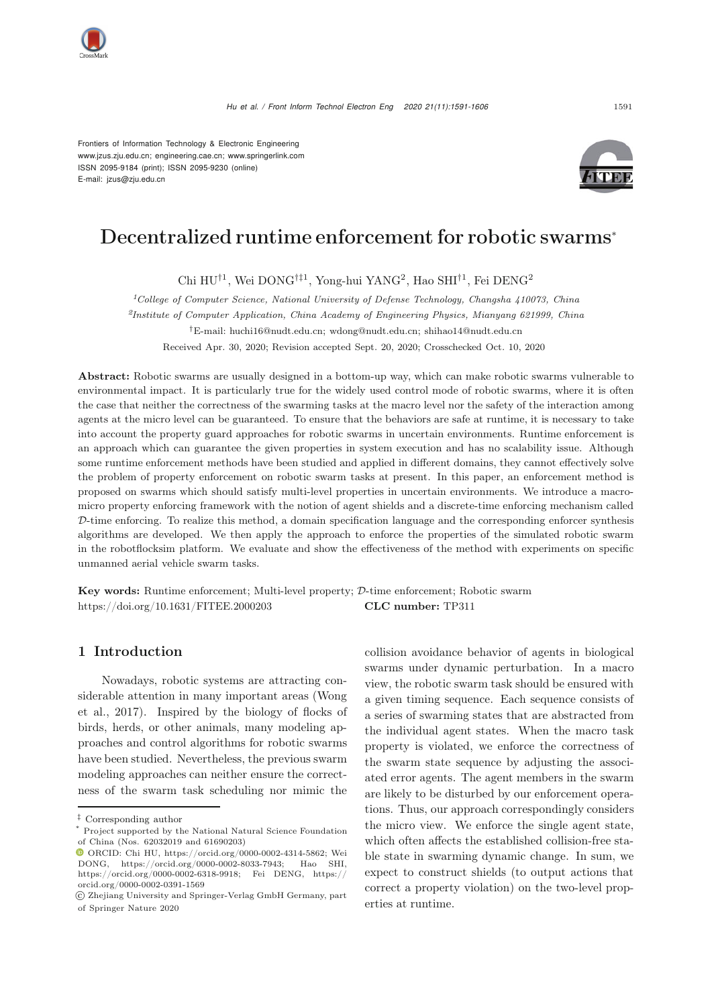

Frontiers of Information Technology & Electronic Engineering [www.jzus.zju.edu.cn;](www.jzus.zju.edu.cn) [engineering.cae.cn;](engineering.cae.cn)<www.springerlink.com> ISSN 2095-9184 (print); ISSN 2095-9230 (online) E-mail: jzus@zju.edu.cn



# Decentralized runtime enforcement for robotic swarms<sup>∗</sup>

Chi HU†<sup>1</sup>, Wei DONG†‡<sup>1</sup>, Yong-hui YANG<sup>2</sup>, Hao SHI†<sup>1</sup>, Fei DENG<sup>2</sup>

*<sup>1</sup>College of Computer Science, National University of Defense Technology, Changsha 410073, China <sup>2</sup>Institute of Computer Application, China Academy of Engineering Physics, Mianyang 621999, China* †E-mail: huchi16@nudt.edu.cn; wdong@nudt.edu.cn; shihao14@nudt.edu.cn Received Apr. 30, 2020; Revision accepted Sept. 20, 2020; Crosschecked Oct. 10, 2020

Abstract: Robotic swarms are usually designed in a bottom-up way, which can make robotic swarms vulnerable to environmental impact. It is particularly true for the widely used control mode of robotic swarms, where it is often the case that neither the correctness of the swarming tasks at the macro level nor the safety of the interaction among agents at the micro level can be guaranteed. To ensure that the behaviors are safe at runtime, it is necessary to take into account the property guard approaches for robotic swarms in uncertain environments. Runtime enforcement is an approach which can guarantee the given properties in system execution and has no scalability issue. Although some runtime enforcement methods have been studied and applied in different domains, they cannot effectively solve the problem of property enforcement on robotic swarm tasks at present. In this paper, an enforcement method is proposed on swarms which should satisfy multi-level properties in uncertain environments. We introduce a macromicro property enforcing framework with the notion of agent shields and a discrete-time enforcing mechanism called D-time enforcing. To realize this method, a domain specification language and the corresponding enforcer synthesis algorithms are developed. We then apply the approach to enforce the properties of the simulated robotic swarm in the robotflocksim platform. We evaluate and show the effectiveness of the method with experiments on specific unmanned aerial vehicle swarm tasks.

**Key words:** Runtime enforcement; Multi-level property;  $D$ -time enforcement; Robotic swarm https://doi.org/10.1631/FITEE.2000203 CLC number: TP311 https://doi.org/10.1631/FITEE.2000203

# 1 Introduction

Nowadays, robotic systems are attracting consider[able](#page-15-0) [attention](#page-15-0) [in](#page-15-0) [many](#page-15-0) [important](#page-15-0) [areas](#page-15-0) [\(](#page-15-0)Wong et al., [2017](#page-15-0)). Inspired by the biology of flocks of birds, herds, or other animals, many modeling approaches and control algorithms for robotic swarms have been studied. Nevertheless, the previous swarm modeling approaches can neither ensure the correctness of the swarm task scheduling nor mimic the collision avoidance behavior of agents in biological swarms under dynamic perturbation. In a macro view, the robotic swarm task should be ensured with a given timing sequence. Each sequence consists of a series of swarming states that are abstracted from the individual agent states. When the macro task property is violated, we enforce the correctness of the swarm state sequence by adjusting the associated error agents. The agent members in the swarm are likely to be disturbed by our enforcement operations. Thus, our approach correspondingly considers the micro view. We enforce the single agent state, which often affects the established collision-free stable state in swarming dynamic change. In sum, we expect to construct shields (to output actions that correct a property violation) on the two-level properties at runtime.

<sup>‡</sup> Corresponding author

Project supported by the National Natural Science Foundation of China (Nos. 62032019 and 61690203)

 $\textcolor{blue}{\bullet}$  ORCID: Chi HU, https://orcid.org/0000-0002-4314-5862; Wei DONG, https://orcid.org/0000-0002-8033-7943; Hao SHI, https://orcid.org/0000-0002-6318-9918; Fei DENG, https:// orcid.org/0000-0002-0391-1569

c Zhejiang University and Springer-Verlag GmbH Germany, part of Springer Nature 2020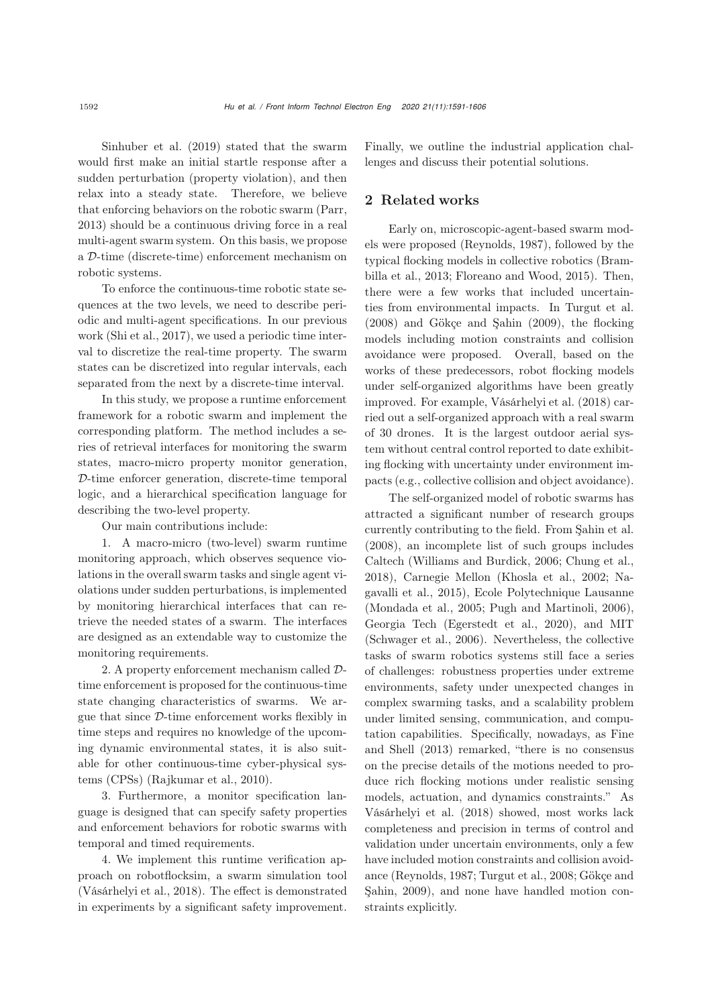Sinhuber et al. [\(2019\)](#page-15-1) stated that the swarm would first make an initial startle response after a sudden perturbation (property violation), and then relax into a steady state. Therefore, we believe that enforcing behaviors on the robotic swarm [\(Parr,](#page-14-0) [2013](#page-14-0)) should be a continuous driving force in a real multi-agent swarm system. On this basis, we propose a D-time (discrete-time) enforcement mechanism on robotic systems.

To enforce the continuous-time robotic state sequences at the two levels, we need to describe periodic and multi-agent specifications. In our previous work [\(Shi et al.](#page-15-2), [2017\)](#page-15-2), we used a periodic time interval to discretize the real-time property. The swarm states can be discretized into regular intervals, each separated from the next by a discrete-time interval.

In this study, we propose a runtime enforcement framework for a robotic swarm and implement the corresponding platform. The method includes a series of retrieval interfaces for monitoring the swarm states, macro-micro property monitor generation, D-time enforcer generation, discrete-time temporal logic, and a hierarchical specification language for describing the two-level property.

Our main contributions include:

1. A macro-micro (two-level) swarm runtime monitoring approach, which observes sequence violations in the overall swarm tasks and single agent violations under sudden perturbations, is implemented by monitoring hierarchical interfaces that can retrieve the needed states of a swarm. The interfaces are designed as an extendable way to customize the monitoring requirements.

2. A property enforcement mechanism called Dtime enforcement is proposed for the continuous-time state changing characteristics of swarms. We argue that since D-time enforcement works flexibly in time steps and requires no knowledge of the upcoming dynamic environmental states, it is also suitable for other continuous-time cyber-physical systems (CPSs) [\(Rajkumar et al.](#page-14-1), [2010](#page-14-1)).

3. Furthermore, a monitor specification language is designed that can specify safety properties and enforcement behaviors for robotic swarms with temporal and timed requirements.

4. We implement this runtime verification approach on robotflocksim, a swarm simulation tool [\(Vásárhelyi et al., 2018](#page-15-3)). The effect is demonstrated in experiments by a significant safety improvement.

Finally, we outline the industrial application challenges and discuss their potential solutions.

# 2 Related works

Early on, microscopic-agent-based swarm models were proposed [\(Reynolds](#page-15-4), [1987](#page-15-4)), followed by the typical flo[cking](#page-14-2) [models](#page-14-2) [in](#page-14-2) [collective](#page-14-2) [robotics](#page-14-2) [\(](#page-14-2)Brambilla et al., [2013](#page-14-2); [Floreano and Wood](#page-14-3), [2015](#page-14-3)). Then, there were a few works that included uncertainties from environmental impacts. In [Turgut et al.](#page-15-5) [\(2008](#page-15-5)) and [Gökçe and Şahin](#page-14-4) [\(2009\)](#page-14-4), the flocking models including motion constraints and collision avoidance were proposed. Overall, based on the works of these predecessors, robot flocking models under self-organized algorithms have been greatly improved. For example, [Vásárhelyi et al.](#page-15-3) [\(2018](#page-15-3)) carried out a self-organized approach with a real swarm of 30 drones. It is the largest outdoor aerial system without central control reported to date exhibiting flocking with uncertainty under environment impacts (e.g., collective collision and object avoidance).

The self-organized model of robotic swarms has attracted a significant number of research groups currently contributing to the field. From [Şahin et al.](#page-15-6) [\(2008](#page-15-6)), an incomplete list of such groups includes Caltech [\(Williams and Burdick](#page-15-7), [2006](#page-15-7); [Chung et al.](#page-14-5), [2018](#page-14-5)), Car[negie](#page-14-7) [Mellon](#page-14-7) [\(Khosla et al., 2002;](#page-14-6) Nagavalli et al., [2015](#page-14-7)), Ecole Polytechnique Lausanne [\(Mondada et al.](#page-14-8), [2005](#page-14-8); [Pugh and Martinoli, 2006\)](#page-14-9), Georgia Tech [\(Egerstedt et al., 2020\)](#page-14-10), and MIT [\(Schwager et al., 2006\)](#page-15-8). Nevertheless, the collective tasks of swarm robotics systems still face a series of challenges: robustness properties under extreme environments, safety under unexpected changes in complex swarming tasks, and a scalability problem under limited sensing, communication, and computation ca[pabilities.](#page-14-11) [Specifically,](#page-14-11) [nowadays,](#page-14-11) [as](#page-14-11) Fine and Shell [\(2013](#page-14-11)) remarked, "there is no consensus on the precise details of the motions needed to produce rich flocking motions under realistic sensing models, actuation, and dynamics constraints." As [Vásárhelyi et al.](#page-15-3) [\(2018\)](#page-15-3) showed, most works lack completeness and precision in terms of control and validation under uncertain environments, only a few have included motion constraints and collision avoidance [\(Reynolds, 1987](#page-15-4)[;](#page-14-4) [Turgut et al., 2008](#page-15-5)[;](#page-14-4) Gökçe and Şahin, [2009\)](#page-14-4), and none have handled motion constraints explicitly.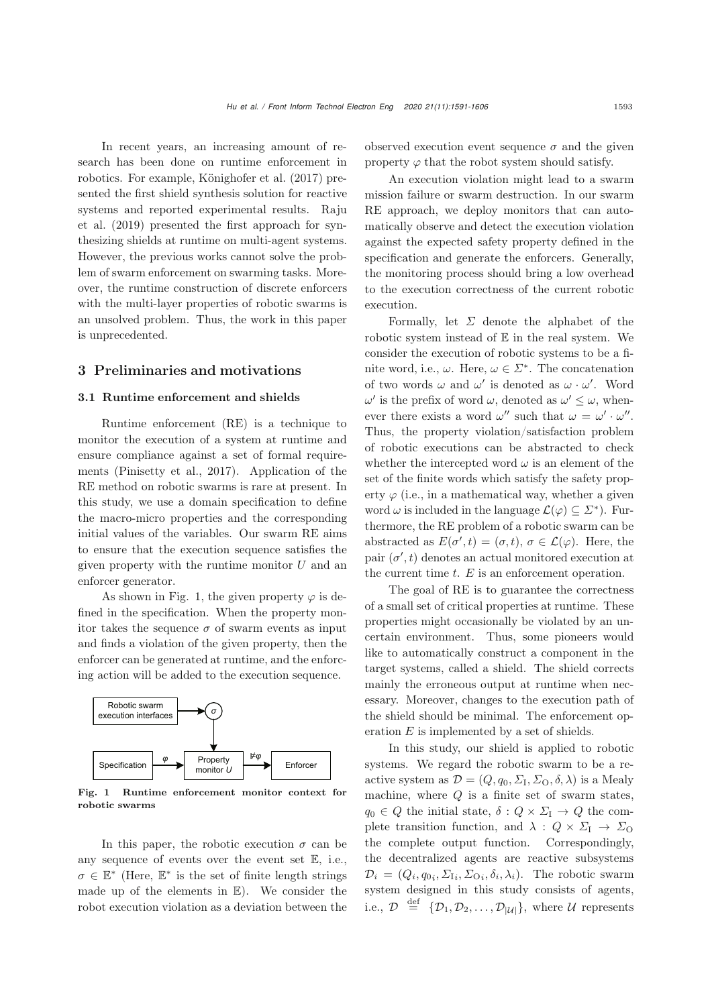In recent years, an increasing amount of research has been done on runtime enforcement in robotics. For example, [Könighofer et al.](#page-14-12) [\(2017](#page-14-12)) presented the first shield synthesis solution for reactive syste[ms](#page-14-13) [and](#page-14-13) [reported](#page-14-13) [experimental](#page-14-13) [results.](#page-14-13) Raju et al. [\(2019](#page-14-13)) presented the first approach for synthesizing shields at runtime on multi-agent systems. However, the previous works cannot solve the problem of swarm enforcement on swarming tasks. Moreover, the runtime construction of discrete enforcers with the multi-layer properties of robotic swarms is an unsolved problem. Thus, the work in this paper is unprecedented.

## 3 Preliminaries and motivations

## 3.1 Runtime enforcement and shields

Runtime enforcement (RE) is a technique to monitor the execution of a system at runtime and ensure compliance against a set of formal requirements [\(Pinisetty et al.](#page-14-14), [2017\)](#page-14-14). Application of the RE method on robotic swarms is rare at present. In this study, we use a domain specification to define the macro-micro properties and the corresponding initial values of the variables. Our swarm RE aims to ensure that the execution sequence satisfies the given property with the runtime monitor  $U$  and an enforcer generator.

As shown in Fig. 1, the given property  $\varphi$  is defined in the specification. When the property monitor takes the sequence  $\sigma$  of swarm events as input and finds a violation of the given property, then the enforcer can be generated at runtime, and the enforcing action will be added to the execution sequence.



Fig. 1 Runtime enforcement monitor context for robotic swarms

In this paper, the robotic execution  $\sigma$  can be any sequence of events over the event set  $E$ , i.e.,  $\sigma \in \mathbb{E}^*$  (Here,  $\mathbb{E}^*$  is the set of finite length strings made up of the elements in  $E$ ). We consider the robot execution violation as a deviation between the observed execution event sequence  $\sigma$  and the given property  $\varphi$  that the robot system should satisfy.

An execution violation might lead to a swarm mission failure or swarm destruction. In our swarm RE approach, we deploy monitors that can automatically observe and detect the execution violation against the expected safety property defined in the specification and generate the enforcers. Generally, the monitoring process should bring a low overhead to the execution correctness of the current robotic execution.

Formally, let  $\Sigma$  denote the alphabet of the robotic system instead of  $E$  in the real system. We consider the execution of robotic systems to be a finite word, i.e.,  $\omega$ . Here,  $\omega \in \Sigma^*$ . The concatenation of two words  $\omega$  and  $\omega'$  is denoted as  $\omega \cdot \omega'$ . Word  $\omega'$  is the prefix of word  $\omega$ , denoted as  $\omega' \leq \omega$ , whenever there exists a word  $\omega''$  such that  $\omega = \omega' \cdot \omega''$ . Thus, the property violation/satisfaction problem of robotic executions can be abstracted to check whether the intercepted word  $\omega$  is an element of the set of the finite words which satisfy the safety property  $\varphi$  (i.e., in a mathematical way, whether a given word  $\omega$  is included in the language  $\mathcal{L}(\varphi) \subseteq \varSigma^*$ ). Furthermore, the RE problem of a robotic swarm can be abstracted as  $E(\sigma', t) = (\sigma, t), \sigma \in \mathcal{L}(\varphi)$ . Here, the pair  $(\sigma, t)$  denotes an actual monitored execution at the current time  $t$ .  $E$  is an enforcement operation.

The goal of RE is to guarantee the correctness of a small set of critical properties at runtime. These properties might occasionally be violated by an uncertain environment. Thus, some pioneers would like to automatically construct a component in the target systems, called a shield. The shield corrects mainly the erroneous output at runtime when necessary. Moreover, changes to the execution path of the shield should be minimal. The enforcement operation E is implemented by a set of shields.

In this study, our shield is applied to robotic systems. We regard the robotic swarm to be a reactive system as  $\mathcal{D} = (Q, q_0, \Sigma_{\text{I}}, \Sigma_{\text{O}}, \delta, \lambda)$  is a Mealy machine, where  $Q$  is a finite set of swarm states,  $q_0 \in Q$  the initial state,  $\delta: Q \times \Sigma_I \to Q$  the complete transition function, and  $\lambda$  :  $Q \times \Sigma_{I} \rightarrow \Sigma_{O}$ the complete output function. Correspondingly, the decentralized agents are reactive subsystems  $\mathcal{D}_i = (Q_i, q_{0i}, \Sigma_{1i}, \Sigma_{\text{O}i}, \delta_i, \lambda_i)$ . The robotic swarm system designed in this study consists of agents, i.e.,  $\mathcal{D} \stackrel{\text{def}}{=} {\{\mathcal{D}_1, \mathcal{D}_2, \ldots, \mathcal{D}_{|\mathcal{U}|}\}},$  where  $\mathcal{U}$  represents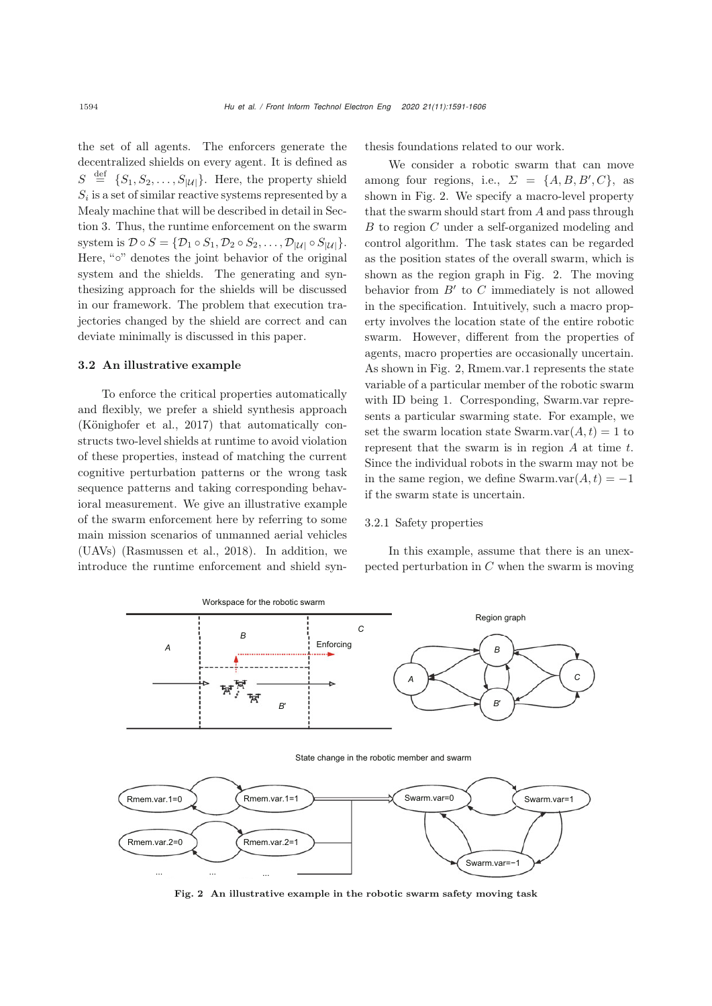the set of all agents. The enforcers generate the decentralized shields on every agent. It is defined as  $S \stackrel{\text{def}}{=} \{S_1, S_2, \ldots, S_{|\mathcal{U}|}\}.$  Here, the property shield  $S<sub>i</sub>$  is a set of similar reactive systems represented by a Mealy machine that will be described in detail in Section 3. Thus, the runtime enforcement on the swarm system is  $\mathcal{D} \circ S = {\mathcal{D}_1 \circ S_1, \mathcal{D}_2 \circ S_2, \ldots, \mathcal{D}_{|\mathcal{U}|} \circ S_{|\mathcal{U}|}}.$ Here, "∘" denotes the joint behavior of the original system and the shields. The generating and synthesizing approach for the shields will be discussed in our framework. The problem that execution trajectories changed by the shield are correct and can deviate minimally is discussed in this paper.

## 3.2 An illustrative example

To enforce the critical properties automatically and flexibly, we prefer a shield synthesis approach [\(Könighofer et al.](#page-14-12), [2017\)](#page-14-12) that automatically constructs two-level shields at runtime to avoid violation of these properties, instead of matching the current cognitive perturbation patterns or the wrong task sequence patterns and taking corresponding behavioral measurement. We give an illustrative example of the swarm enforcement here by referring to some main mission scenarios of unmanned aerial vehicles (UAVs) [\(Rasmussen et al.](#page-15-9), [2018\)](#page-15-9). In addition, we introduce the runtime enforcement and shield synthesis foundations related to our work.

We consider a robotic swarm that can move among four regions, i.e.,  $\Sigma = \{A, B, B', C\}$ , as shown in Fig. 2. We specify a macro-level property that the swarm should start from A and pass through B to region C under a self-organized modeling and control algorithm. The task states can be regarded as the position states of the overall swarm, which is shown as the region graph in Fig. 2. The moving behavior from  $B'$  to  $C$  immediately is not allowed in the specification. Intuitively, such a macro property involves the location state of the entire robotic swarm. However, different from the properties of agents, macro properties are occasionally uncertain. As shown in Fig. 2, Rmem.var.1 represents the state variable of a particular member of the robotic swarm with ID being 1. Corresponding, Swarm.var represents a particular swarming state. For example, we set the swarm location state Swarm.var $(A, t)=1$  to represent that the swarm is in region  $A$  at time  $t$ . Since the individual robots in the swarm may not be in the same region, we define Swarm.var $(A, t) = -1$ if the swarm state is uncertain.

#### 3.2.1 Safety properties

In this example, assume that there is an unexpected perturbation in  $C$  when the swarm is moving



Fig. 2 An illustrative example in the robotic swarm safety moving task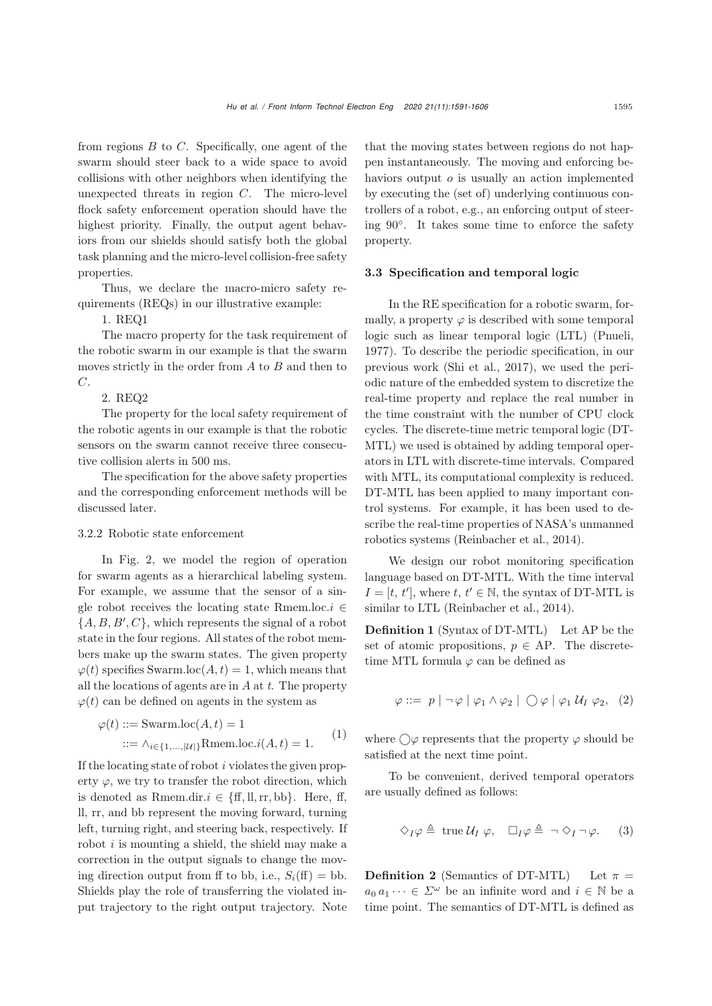from regions  $B$  to  $C$ . Specifically, one agent of the swarm should steer back to a wide space to avoid collisions with other neighbors when identifying the unexpected threats in region C. The micro-level flock safety enforcement operation should have the highest priority. Finally, the output agent behaviors from our shields should satisfy both the global task planning and the micro-level collision-free safety properties.

Thus, we declare the macro-micro safety requirements (REQs) in our illustrative example:

## 1. REQ1

The macro property for the task requirement of the robotic swarm in our example is that the swarm moves strictly in the order from  $A$  to  $B$  and then to C.

#### 2. REQ2

The property for the local safety requirement of the robotic agents in our example is that the robotic sensors on the swarm cannot receive three consecutive collision alerts in 500 ms.

The specification for the above safety properties and the corresponding enforcement methods will be discussed later.

#### 3.2.2 Robotic state enforcement

In Fig. 2, we model the region of operation for swarm agents as a hierarchical labeling system. For example, we assume that the sensor of a single robot receives the locating state Rmem.loc. $i \in$  $\{A, B, B', C\}$ , which represents the signal of a robot state in the four regions. All states of the robot members make up the swarm states. The given property  $\varphi(t)$  specifies Swarm.loc(A, t) = 1, which means that all the locations of agents are in A at *t*. The property  $\varphi(t)$  can be defined on agents in the system as

$$
\varphi(t) ::= \text{Swarm.loc}(A, t) = 1
$$
  

$$
::= \wedge_{i \in \{1, ..., |\mathcal{U}|\}} \text{Rmem.loc.}i(A, t) = 1.
$$
 (1)

If the locating state of robot*i* violates the given property  $\varphi$ , we try to transfer the robot direction, which is denoted as Rmem.dir. $i \in \{\text{ff}, \text{ll}, \text{rr}, \text{bb}\}\.$  Here, ff, ll, rr, and bb represent the moving forward, turning left, turning right, and steering back, respectively. If robot *i* is mounting a shield, the shield may make a correction in the output signals to change the moving direction output from ff to bb, i.e.,  $S_i(f) = bb$ . Shields play the role of transferring the violated input trajectory to the right output trajectory. Note that the moving states between regions do not happen instantaneously. The moving and enforcing behaviors output  $\sigma$  is usually an action implemented by executing the (set of) underlying continuous controllers of a robot, e.g., an enforcing output of steering 90◦. It takes some time to enforce the safety property.

#### 3.3 Specification and temporal logic

In the RE specification for a robotic swarm, formally, a property  $\varphi$  is described with some temporal logic such as linear temporal logic (LTL) [\(Pnueli](#page-14-15), [1977](#page-14-15)). To describe the periodic specification, in our previous work [\(Shi et al.](#page-15-2), [2017](#page-15-2)), we used the periodic nature of the embedded system to discretize the real-time property and replace the real number in the time constraint with the number of CPU clock cycles. The discrete-time metric temporal logic (DT-MTL) we used is obtained by adding temporal operators in LTL with discrete-time intervals. Compared with MTL, its computational complexity is reduced. DT-MTL has been applied to many important control systems. For example, it has been used to describe the real-time properties of NASA's unmanned robotics systems [\(Reinbacher et al.](#page-15-10), [2014](#page-15-10)).

We design our robot monitoring specification language based on DT-MTL. With the time interval  $I = [t, t'],$  where  $t, t' \in \mathbb{N}$ , the syntax of DT-MTL is similar to LTL [\(Reinbacher et al.](#page-15-10), [2014](#page-15-10)).

Definition 1 (Syntax of DT-MTL) Let AP be the set of atomic propositions,  $p \in AP$ . The discretetime MTL formula  $\varphi$  can be defined as

$$
\varphi ::= p | \neg \varphi | \varphi_1 \wedge \varphi_2 | \bigcirc \varphi | \varphi_1 \mathcal{U}_I \varphi_2, (2)
$$

where  $\bigcirc \varphi$  represents that the property  $\varphi$  should be satisfied at the next time point.

To be convenient, derived temporal operators are usually defined as follows:

$$
\Diamond_I \varphi \triangleq \text{ true } \mathcal{U}_I \varphi, \quad \Box_I \varphi \triangleq \neg \Diamond_I \neg \varphi. \quad (3)
$$

**Definition 2** (Semantics of DT-MTL) Let  $\pi$  =  $a_0 a_1 \cdots \in \Sigma^{\omega}$  be an infinite word and  $i \in \mathbb{N}$  be a time point. The semantics of DT-MTL is defined as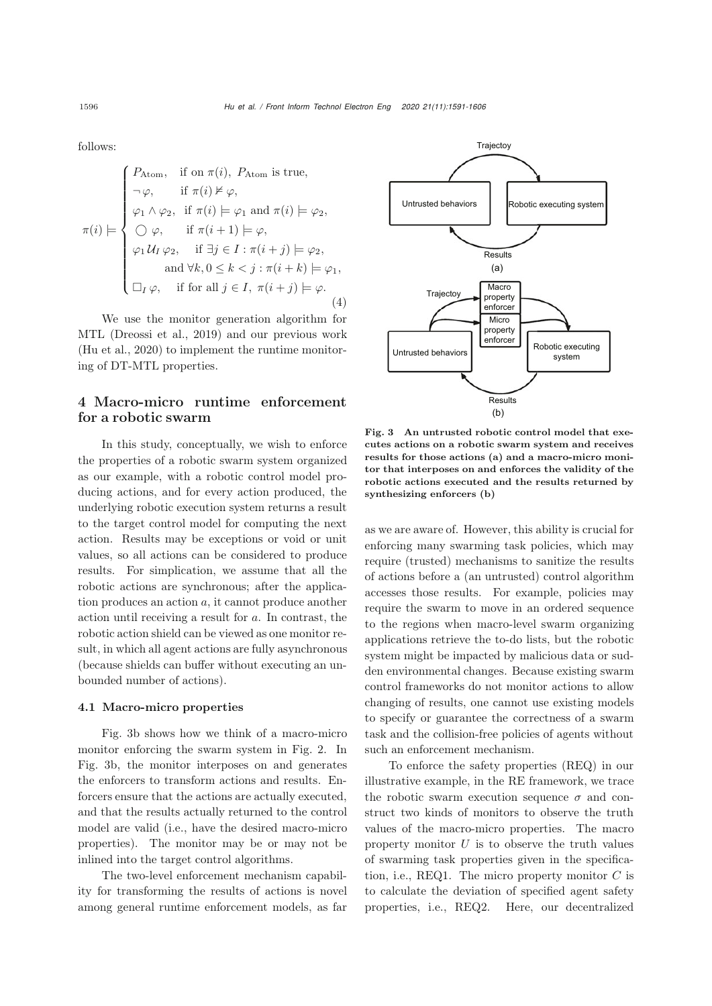follows:

$$
\pi(i) \models \begin{cases}\nP_{\text{Atom}}, & \text{if on } \pi(i), P_{\text{Atom}} \text{ is true,} \\
\neg \varphi, & \text{if } \pi(i) \not\vDash \varphi, \\
\varphi_1 \wedge \varphi_2, & \text{if } \pi(i) \models \varphi_1 \text{ and } \pi(i) \models \varphi_2, \\
\bigcirc \varphi, & \text{if } \pi(i+1) \models \varphi, \\
\varphi_1 U_I \varphi_2, & \text{if } \exists j \in I : \pi(i+j) \models \varphi_2, \\
& \text{and } \forall k, 0 \le k < j : \pi(i+k) \models \varphi_1, \\
\Box_I \varphi, & \text{if for all } j \in I, \pi(i+j) \models \varphi.\n\end{cases}
$$
\n(4)

We use the monitor generation algorithm for MTL [\(Dreossi et al., 2019\)](#page-14-16) and our previous work [\(Hu et al., 2020](#page-14-17)) to implement the runtime monitoring of DT-MTL properties.

# 4 Macro-micro runtime enforcement for a robotic swarm

In this study, conceptually, we wish to enforce the properties of a robotic swarm system organized as our example, with a robotic control model producing actions, and for every action produced, the underlying robotic execution system returns a result to the target control model for computing the next action. Results may be exceptions or void or unit values, so all actions can be considered to produce results. For simplication, we assume that all the robotic actions are synchronous; after the application produces an action a, it cannot produce another action until receiving a result for a. In contrast, the robotic action shield can be viewed as one monitor result, in which all agent actions are fully asynchronous (because shields can buffer without executing an unbounded number of actions).

### 4.1 Macro-micro properties

Fig. 3b shows how we think of a macro-micro monitor enforcing the swarm system in Fig. 2. In Fig. 3b, the monitor interposes on and generates the enforcers to transform actions and results. Enforcers ensure that the actions are actually executed, and that the results actually returned to the control model are valid (i.e., have the desired macro-micro properties). The monitor may be or may not be inlined into the target control algorithms.

The two-level enforcement mechanism capability for transforming the results of actions is novel among general runtime enforcement models, as far



Fig. 3 An untrusted robotic control model that executes actions on a robotic swarm system and receives results for those actions (a) and a macro-micro monitor that interposes on and enforces the validity of the robotic actions executed and the results returned by synthesizing enforcers (b)

as we are aware of. However, this ability is crucial for enforcing many swarming task policies, which may require (trusted) mechanisms to sanitize the results of actions before a (an untrusted) control algorithm accesses those results. For example, policies may require the swarm to move in an ordered sequence to the regions when macro-level swarm organizing applications retrieve the to-do lists, but the robotic system might be impacted by malicious data or sudden environmental changes. Because existing swarm control frameworks do not monitor actions to allow changing of results, one cannot use existing models to specify or guarantee the correctness of a swarm task and the collision-free policies of agents without such an enforcement mechanism.

To enforce the safety properties (REQ) in our illustrative example, in the RE framework, we trace the robotic swarm execution sequence  $\sigma$  and construct two kinds of monitors to observe the truth values of the macro-micro properties. The macro property monitor  $U$  is to observe the truth values of swarming task properties given in the specification, i.e., REQ1. The micro property monitor  $C$  is to calculate the deviation of specified agent safety properties, i.e., REQ2. Here, our decentralized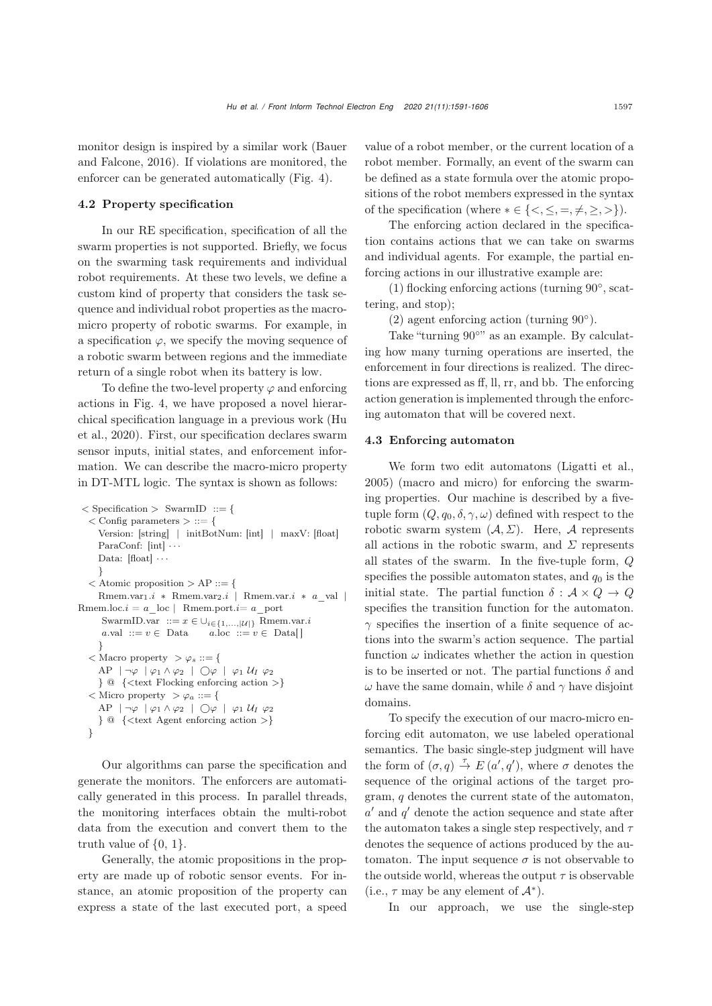monitor des[ign](#page-14-18) [is](#page-14-18) [inspired](#page-14-18) [by](#page-14-18) [a](#page-14-18) [similar](#page-14-18) [work](#page-14-18) [\(](#page-14-18)Bauer and Falcone, [2016](#page-14-18)). If violations are monitored, the enforcer can be generated automatically (Fig. 4).

## 4.2 Property specification

In our RE specification, specification of all the swarm properties is not supported. Briefly, we focus on the swarming task requirements and individual robot requirements. At these two levels, we define a custom kind of property that considers the task sequence and individual robot properties as the macromicro property of robotic swarms. For example, in a specification  $\varphi$ , we specify the moving sequence of a robotic swarm between regions and the immediate return of a single robot when its battery is low.

To define the two-level property  $\varphi$  and enforcing actions in Fig. 4, we have proposed a novel hierarchic[al](#page-14-17) [specification](#page-14-17) [language](#page-14-17) [in](#page-14-17) [a](#page-14-17) [previous](#page-14-17) [work](#page-14-17) [\(](#page-14-17)Hu et al., [2020\)](#page-14-17). First, our specification declares swarm sensor inputs, initial states, and enforcement information. We can describe the macro-micro property in DT-MTL logic. The syntax is shown as follows:

```
\langle Specification > SwarmID ::= {
   \langle Config parameters \rangle ::= \{Version: [string] | initBotNum: [int] | maxV: [float]
      ParaConf: [int] \cdotsData: [float] \cdots}
   \langle Atomic proposition > AP ::= {
      Rmem.var<sub>1</sub>.i ∗ Rmem.var<sub>2</sub>.i | Rmem.var.i ∗ a_val |
Rmem.loc.i = a loc | Rmem.port.i = a port
       SwarmID.var ::= x \in \bigcup_{i \in \{1,...,|\mathcal{U}|\}} Rmem.var.i<br>a.val ::= v \in Data a.loc ::= v \in Data[]
                                         a.\overline{\text{loc}} := v \in \text{Data}[\ ]}
   < Macro property > \varphi_s ::= \{AP |\neg \varphi| \varphi_1 \wedge \varphi_2 | \bigcirc \varphi | \varphi_1 \mathcal{U}_I \varphi_2}@ {<text Flocking enforcing action >}
   < Micro property > \varphi_a ::= \{AP |\neg \varphi| \varphi_1 \wedge \varphi_2 | \bigcirc \varphi | \varphi_1 \mathcal{U}_I \varphi_2}@ {<text Agent enforcing action >}
   }
```
Our algorithms can parse the specification and generate the monitors. The enforcers are automatically generated in this process. In parallel threads, the monitoring interfaces obtain the multi-robot data from the execution and convert them to the truth value of  $\{0, 1\}$ .

Generally, the atomic propositions in the property are made up of robotic sensor events. For instance, an atomic proposition of the property can express a state of the last executed port, a speed value of a robot member, or the current location of a robot member. Formally, an event of the swarm can be defined as a state formula over the atomic propositions of the robot members expressed in the syntax of the specification (where  $* \in \{ \langle \leq, \leq, =, \neq, \geq, \geq \}$ ).

The enforcing action declared in the specification contains actions that we can take on swarms and individual agents. For example, the partial enforcing actions in our illustrative example are:

(1) flocking enforcing actions (turning 90◦, scattering, and stop);

(2) agent enforcing action (turning  $90°$ ).

Take "turning 90◦" as an example. By calculating how many turning operations are inserted, the enforcement in four directions is realized. The directions are expressed as ff, ll, rr, and bb. The enforcing action generation is implemented through the enforcing automaton that will be covered next.

## 4.3 Enforcing automaton

We form two edit automatons [\(Ligatti et al.](#page-14-19), [2005](#page-14-19)) (macro and micro) for enforcing the swarming properties. Our machine is described by a fivetuple form  $(Q, q_0, \delta, \gamma, \omega)$  defined with respect to the robotic swarm system  $(\mathcal{A}, \Sigma)$ . Here,  $\mathcal A$  represents all actions in the robotic swarm, and  $\Sigma$  represents all states of the swarm. In the five-tuple form, Q specifies the possible automaton states, and  $q_0$  is the initial state. The partial function  $\delta : \mathcal{A} \times Q \to Q$ specifies the transition function for the automaton.  $\gamma$  specifies the insertion of a finite sequence of actions into the swarm's action sequence. The partial function  $\omega$  indicates whether the action in question is to be inserted or not. The partial functions  $\delta$  and  $\omega$  have the same domain, while  $\delta$  and  $\gamma$  have disjoint domains.

To specify the execution of our macro-micro enforcing edit automaton, we use labeled operational semantics. The basic single-step judgment will have the form of  $(\sigma, q) \stackrel{\tau}{\rightarrow} E(a', q')$ , where  $\sigma$  denotes the sequence of the original actions of the target program, q denotes the current state of the automaton,  $a'$  and  $q'$  denote the action sequence and state after the automaton takes a single step respectively, and  $\tau$ denotes the sequence of actions produced by the automaton. The input sequence  $\sigma$  is not observable to the outside world, whereas the output  $\tau$  is observable (i.e.,  $\tau$  may be any element of  $\mathcal{A}^*$ ).

In our approach, we use the single-step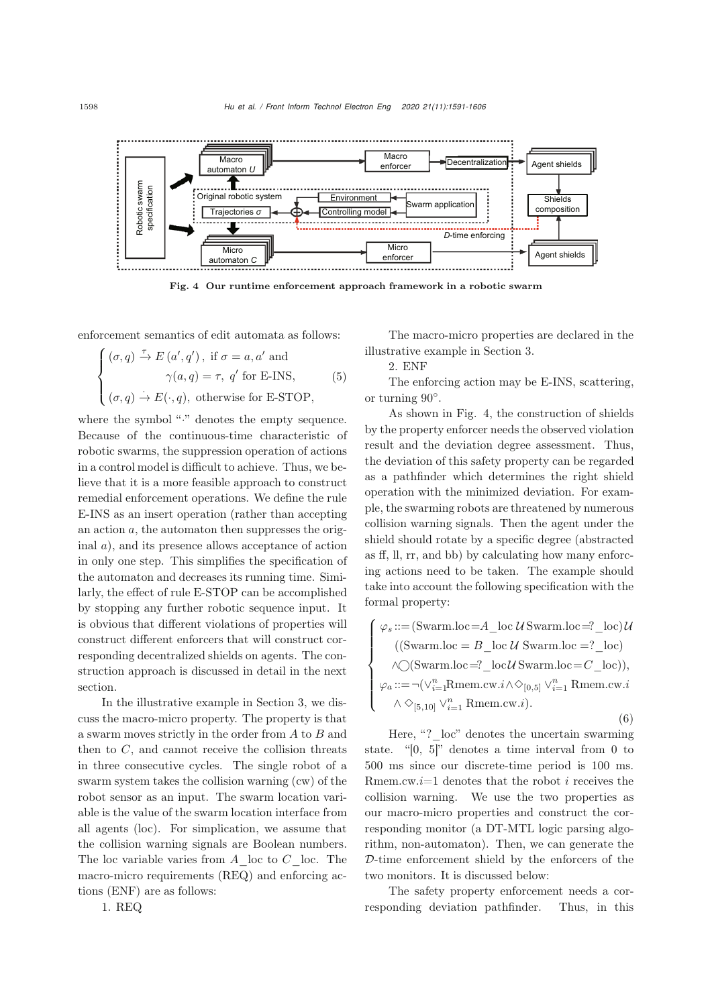

Fig. 4 Our runtime enforcement approach framework in a robotic swarm

enforcement semantics of edit automata as follows:

$$
\begin{cases}\n(\sigma, q) \stackrel{\tau}{\rightarrow} E(a', q'), \text{ if } \sigma = a, a' \text{ and} \\
\gamma(a, q) = \tau, q' \text{ for E-INS}, \\
(\sigma, q) \stackrel{\cdot}{\rightarrow} E(\cdot, q), \text{ otherwise for E-STOP},\n\end{cases}
$$
\n(5)

where the symbol "." denotes the empty sequence. Because of the continuous-time characteristic of robotic swarms, the suppression operation of actions in a control model is difficult to achieve. Thus, we believe that it is a more feasible approach to construct remedial enforcement operations. We define the rule E-INS as an insert operation (rather than accepting an action  $a$ , the automaton then suppresses the original a), and its presence allows acceptance of action in only one step. This simplifies the specification of the automaton and decreases its running time. Similarly, the effect of rule E-STOP can be accomplished by stopping any further robotic sequence input. It is obvious that different violations of properties will construct different enforcers that will construct corresponding decentralized shields on agents. The construction approach is discussed in detail in the next section.

In the illustrative example in Section 3, we discuss the macro-micro property. The property is that a swarm moves strictly in the order from A to B and then to  $C$ , and cannot receive the collision threats in three consecutive cycles. The single robot of a swarm system takes the collision warning (cw) of the robot sensor as an input. The swarm location variable is the value of the swarm location interface from all agents (loc). For simplication, we assume that the collision warning signals are Boolean numbers. The loc variable varies from  $A$  loc to  $C$  loc. The macro-micro requirements (REQ) and enforcing actions (ENF) are as follows:

1. REQ

As shown in Fig. 4, the construction of shields by the property enforcer needs the observed violation

illustrative example in Section 3.

2. ENF

or turning 90◦.

result and the deviation degree assessment. Thus, the deviation of this safety property can be regarded as a pathfinder which determines the right shield operation with the minimized deviation. For example, the swarming robots are threatened by numerous collision warning signals. Then the agent under the shield should rotate by a specific degree (abstracted as ff, ll, rr, and bb) by calculating how many enforcing actions need to be taken. The example should take into account the following specification with the formal property:

The macro-micro properties are declared in the

The enforcing action may be E-INS, scattering,

$$
\begin{cases}\n\varphi_s ::= (\text{Swarm}.\text{loc} = A \_\text{loc} \mathcal{U} \text{Swarm}.\text{loc} = ? \_\text{loc})\mathcal{U} \\
((\text{Swarm}.\text{loc} = B \_\text{loc} \mathcal{U} \text{Swarm}.\text{loc} = ? \_\text{loc}) \\
\wedge \bigcirc (\text{Swarm}.\text{loc} = ? \_\text{loc} \mathcal{U} \text{Swarm}.\text{loc} = C \_\text{loc}), \\
\varphi_a ::= \neg(\vee_{i=1}^n \text{Rmem}.\text{cw}.i \wedge \bigcirc_{[0,5]} \vee_{i=1}^n \text{Rmem}.\text{cw}.i) \\
\wedge \bigcirc_{[5,10]} \vee_{i=1}^n \text{Rmem}.\text{cw}.i).\n\end{cases}
$$
\n(6)

Here, "? loc" denotes the uncertain swarming state. "[0, 5]" denotes a time interval from 0 to 500 ms since our discrete-time period is 100 ms. Rmem.cw. $i=1$  denotes that the robot i receives the collision warning. We use the two properties as our macro-micro properties and construct the corresponding monitor (a DT-MTL logic parsing algorithm, non-automaton). Then, we can generate the D-time enforcement shield by the enforcers of the two monitors. It is discussed below:

The safety property enforcement needs a corresponding deviation pathfinder. Thus, in this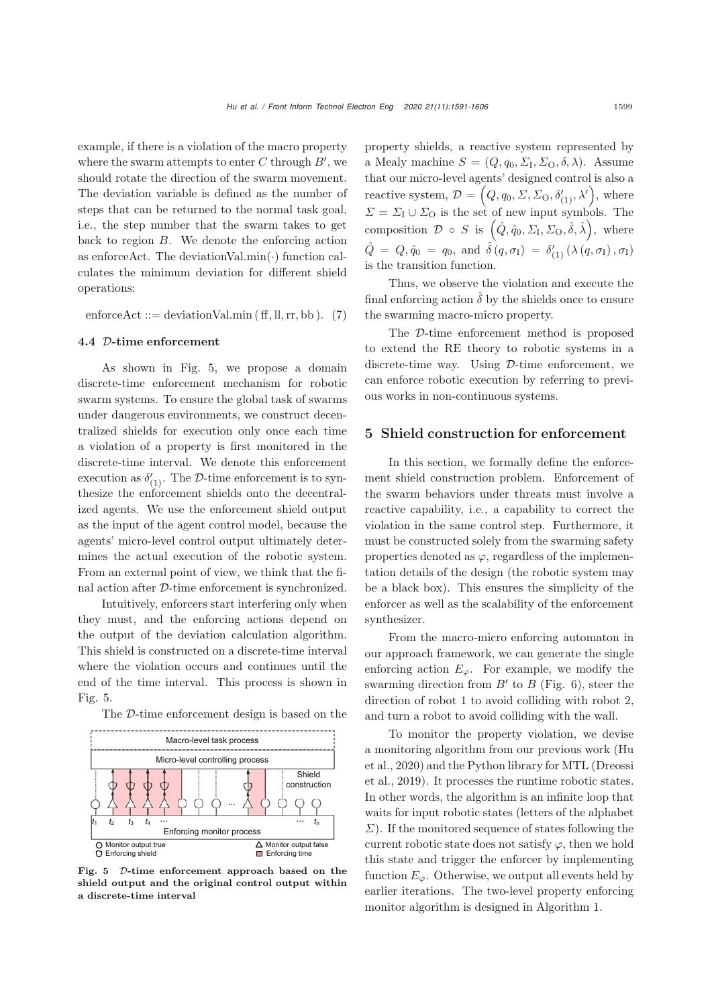example, if there is a violation of the macro property where the swarm attempts to enter  $C$  through  $B'$ , we should rotate the direction of the swarm movement. The deviation variable is defined as the number of steps that can be returned to the normal task goal, i.e., the step number that the swarm takes to get back to region B. We denote the enforcing action as enforceAct. The deviationVal.min( $\cdot$ ) function calculates the minimum deviation for different shield operations:

$$
enforceAct ::= deviationVal.min(ff, ll, rr, bb). (7)
$$

#### 4.4 D-time enforcement

As shown in Fig. 5, we propose a domain discrete-time enforcement mechanism for robotic swarm systems. To ensure the global task of swarms under dangerous environments, we construct decentralized shields for execution only once each time a violation of a property is first monitored in the discrete-time interval. We denote this enforcement execution as  $\delta'_{(1)}$ . The D-time enforcement is to synthesize the enforcement shields onto the decentralized agents. We use the enforcement shield output as the input of the agent control model, because the agents' micro-level control output ultimately determines the actual execution of the robotic system. From an external point of view, we think that the final action after D-time enforcement is synchronized.

Intuitively, enforcers start interfering only when they must, and the enforcing actions depend on the output of the deviation calculation algorithm. This shield is constructed on a discrete-time interval where the violation occurs and continues until the end of the time interval. This process is shown in Fig. 5.

The D-time enforcement design is based on the



Fig. 5 D-time enforcement approach based on the shield output and the original control output within a discrete-time interval

property shields, a reactive system represented by a Mealy machine  $S = (Q, q_0, \Sigma_{\rm I}, \Sigma_{\rm O}, \delta, \lambda)$ . Assume that our micro-level agents' designed control is also a reactive system,  $\mathcal{D} = (Q, q_0, \Sigma, \Sigma_{\text{O}}, \delta'_{(1)}, \lambda')$ , where  $\Sigma = \Sigma_{\rm I} \cup \Sigma_{\rm O}$  is the set of new input symbols. The composition  $\mathcal{D} \circ S$  is  $(\hat{Q}, \hat{q}_0, \Sigma_{\mathrm{I}}, \Sigma_{\mathrm{O}}, \hat{\delta}, \hat{\lambda}),$  where  $\hat{Q} \ = \ Q,\hat{q}_0 \ = \ q_0, \ \text{and} \ \hat{\delta\, (q, \sigma_{\text{I}}) \ = \ \delta'_{(1)}\left(\lambda\left(\hat{q}, \sigma_{\text{I}}\right), \sigma_{\text{I}}\right)$ is the transition function.

Thus, we observe the violation and execute the final enforcing action  $\hat{\delta}$  by the shields once to ensure the swarming macro-micro property.

The D-time enforcement method is proposed to extend the RE theory to robotic systems in a discrete-time way. Using D-time enforcement, we can enforce robotic execution by referring to previous works in non-continuous systems.

## 5 Shield construction for enforcement

In this section, we formally define the enforcement shield construction problem. Enforcement of the swarm behaviors under threats must involve a reactive capability, i.e., a capability to correct the violation in the same control step. Furthermore, it must be constructed solely from the swarming safety properties denoted as  $\varphi$ , regardless of the implementation details of the design (the robotic system may be a black box). This ensures the simplicity of the enforcer as well as the scalability of the enforcement synthesizer.

From the macro-micro enforcing automaton in our approach framework, we can generate the single enforcing action  $E_{\varphi}$ . For example, we modify the swarming direction from  $B'$  to  $B$  (Fig. 6), steer the direction of robot 1 to avoid colliding with robot 2, and turn a robot to avoid colliding with the wall.

To monitor the property violation, we devise a m[onitoring](#page-14-17) [algorithm](#page-14-17) [from](#page-14-17) [our](#page-14-17) [previous](#page-14-17) [work](#page-14-17) [\(](#page-14-17)Hu et al.[,](#page-14-16) [2020](#page-14-17)[\)](#page-14-16) [and](#page-14-16) [the](#page-14-16) [Python](#page-14-16) [library](#page-14-16) [for](#page-14-16) [MTL](#page-14-16) [\(](#page-14-16)Dreossi et al., [2019](#page-14-16)). It processes the runtime robotic states. In other words, the algorithm is an infinite loop that waits for input robotic states (letters of the alphabet  $\Sigma$ ). If the monitored sequence of states following the current robotic state does not satisfy  $\varphi$ , then we hold this state and trigger the enforcer by implementing function  $E_{\varphi}$ . Otherwise, we output all events held by earlier iterations. The two-level property enforcing monitor algorithm is designed in Algorithm 1.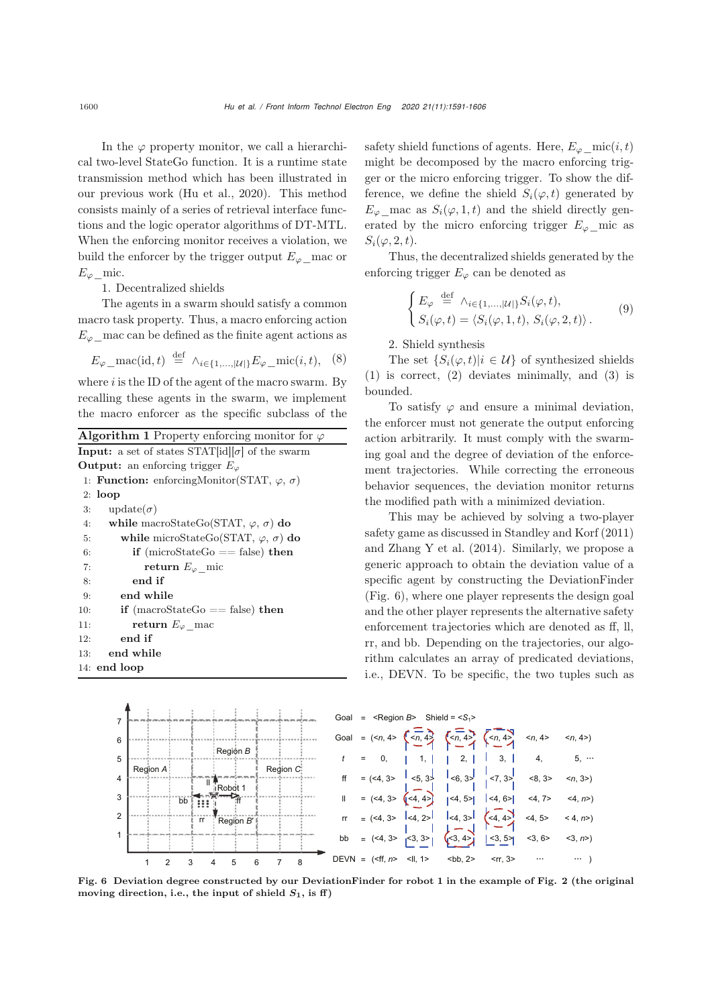In the  $\varphi$  property monitor, we call a hierarchical two-level StateGo function. It is a runtime state transmission method which has been illustrated in our previous work [\(Hu et al.](#page-14-17), [2020\)](#page-14-17). This method consists mainly of a series of retrieval interface functions and the logic operator algorithms of DT-MTL. When the enforcing monitor receives a violation, we build the enforcer by the trigger output  $E_\varphi$  mac or  $E_{\varphi}$  mic.

1. Decentralized shields

The agents in a swarm should satisfy a common macro task property. Thus, a macro enforcing action  $E_\varphi$  mac can be defined as the finite agent actions as

$$
E_{\varphi} \_\text{mac}(id, t) \stackrel{\text{def}}{=} \wedge_{i \in \{1, \dots, |\mathcal{U}|\}} E_{\varphi} \_\text{mic}(i, t), \quad (8)
$$

where  $i$  is the ID of the agent of the macro swarm. By recalling these agents in the swarm, we implement the macro enforcer as the specific subclass of the

| <b>Algorithm 1</b> Property enforcing monitor for $\varphi$          |  |  |  |  |  |  |
|----------------------------------------------------------------------|--|--|--|--|--|--|
| <b>Input:</b> a set of states $\text{STAT}[id][\sigma]$ of the swarm |  |  |  |  |  |  |
| <b>Output:</b> an enforcing trigger $E_{\varphi}$                    |  |  |  |  |  |  |
| 1: <b>Function:</b> enforcingMonitor(STAT, $\varphi$ , $\sigma$ )    |  |  |  |  |  |  |
| $2:$ loop                                                            |  |  |  |  |  |  |
| update $(\sigma)$<br>3:                                              |  |  |  |  |  |  |
| while macroStateGo(STAT, $\varphi$ , $\sigma$ ) do<br>4:             |  |  |  |  |  |  |
| while microStateGo(STAT, $\varphi$ , $\sigma$ ) do<br>5:             |  |  |  |  |  |  |
| <b>if</b> (microStateGo = $=$ false) then<br>6:                      |  |  |  |  |  |  |
| return $E_{\varphi}$ mic<br>7:                                       |  |  |  |  |  |  |
| end if<br>8:                                                         |  |  |  |  |  |  |
| end while<br>9:                                                      |  |  |  |  |  |  |
| if (macroStateGo $==$ false) then<br>10:                             |  |  |  |  |  |  |
| return $E_{\varphi}$ mac<br>11:                                      |  |  |  |  |  |  |
| end if<br>12:                                                        |  |  |  |  |  |  |
| end while<br>13:                                                     |  |  |  |  |  |  |
| 14: end loop                                                         |  |  |  |  |  |  |

safety shield functions of agents. Here,  $E_{\varphi}$  mic $(i, t)$ might be decomposed by the macro enforcing trigger or the micro enforcing trigger. To show the difference, we define the shield  $S_i(\varphi, t)$  generated by  $E_{\varphi}$  mac as  $S_i(\varphi, 1, t)$  and the shield directly generated by the micro enforcing trigger  $E_{\varphi}$  mic as  $S_i(\varphi, 2, t)$ .

Thus, the decentralized shields generated by the enforcing trigger  $E_{\varphi}$  can be denoted as

$$
\begin{cases}\nE_{\varphi} \stackrel{\text{def}}{=} \wedge_{i \in \{1, \dots, |\mathcal{U}|\}} S_i(\varphi, t), \\
S_i(\varphi, t) = \langle S_i(\varphi, 1, t), S_i(\varphi, 2, t) \rangle.\n\end{cases} \tag{9}
$$

2. Shield synthesis

The set  $\{S_i(\varphi, t)|i \in \mathcal{U}\}\$  of synthesized shields (1) is correct, (2) deviates minimally, and (3) is bounded.

To satisfy  $\varphi$  and ensure a minimal deviation, the enforcer must not generate the output enforcing action arbitrarily. It must comply with the swarming goal and the degree of deviation of the enforcement trajectories. While correcting the erroneous behavior sequences, the deviation monitor returns the modified path with a minimized deviation.

This may be achieved by solving a two-player safety game as discussed in [Standley and Korf](#page-15-11) [\(2011](#page-15-11)) and [Zhang Y et al.](#page-15-12) [\(2014](#page-15-12)). Similarly, we propose a generic approach to obtain the deviation value of a specific agent by constructing the DeviationFinder (Fig. 6), where one player represents the design goal and the other player represents the alternative safety enforcement trajectories which are denoted as ff, ll, rr, and bb. Depending on the trajectories, our algorithm calculates an array of predicated deviations, i.e., DEVN. To be specific, the two tuples such as



Fig. 6 Deviation degree constructed by our DeviationFinder for robot 1 in the example of Fig. 2 (the original moving direction, i.e., the input of shield  $S_1$ , is ff)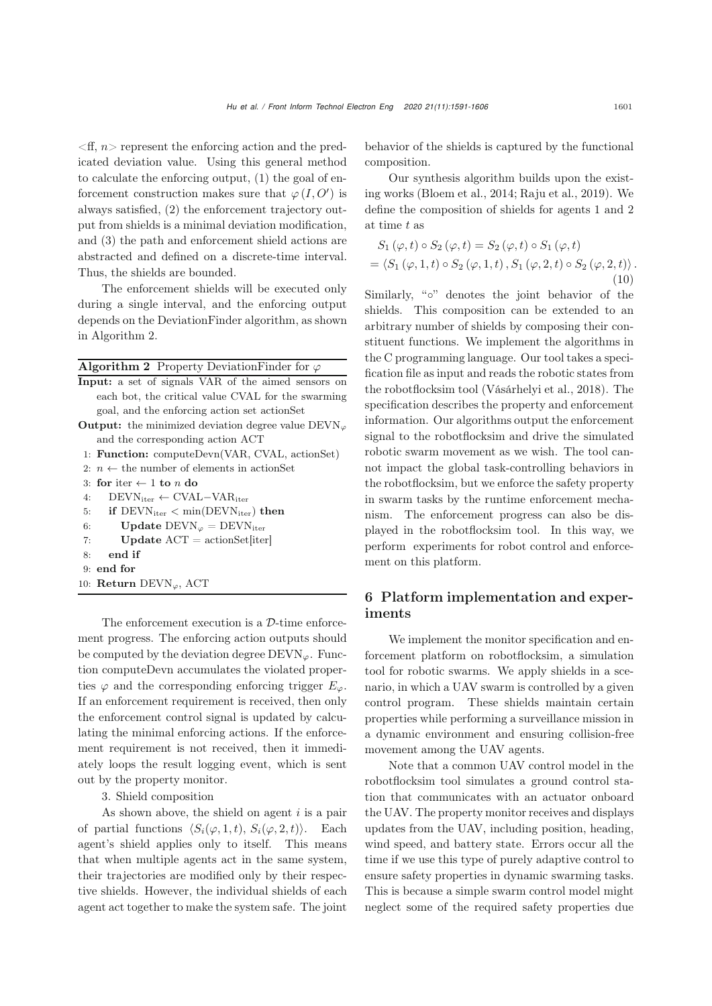$\langle f, n \rangle$  represent the enforcing action and the predicated deviation value. Using this general method to calculate the enforcing output, (1) the goal of enforcement construction makes sure that  $\varphi(I, O')$  is always satisfied, (2) the enforcement trajectory output from shields is a minimal deviation modification, and (3) the path and enforcement shield actions are abstracted and defined on a discrete-time interval. Thus, the shields are bounded.

The enforcement shields will be executed only during a single interval, and the enforcing output depends on the DeviationFinder algorithm, as shown in Algorithm 2.

| <b>Algorithm 2</b> Property Deviation Finder for $\varphi$ |  |  |  |
|------------------------------------------------------------|--|--|--|
| <b>Input:</b> a set of signals VAR of the aimed sensors on |  |  |  |

- each bot, the critical value CVAL for the swarming goal, and the enforcing action set actionSet
- **Output:** the minimized deviation degree value  $\text{DEVN}_{\varphi}$ and the corresponding action ACT
- 1: Function: computeDevn(VAR, CVAL, actionSet)
- 2:  $n \leftarrow$  the number of elements in actionSet
- 3: for iter  $\leftarrow$  1 to *n* do
- 4: DEVNiter ← CVAL−VARiter

5: if  $DEVN_{iter} < min(DEVN_{iter})$  then

- 6: Update  $\text{DEVN}_{\varphi} = \text{DEVN}_{\text{iter}}$
- 7: Update  $ACT = actionSet[iter]$
- 8: end if
- 9: end for
- 10: Return DEVN<sub>∞</sub>, ACT

The enforcement execution is a  $\mathcal{D}\text{-time}$  enforcement progress. The enforcing action outputs should be computed by the deviation degree  $\text{DEVN}_{\varphi}$ . Function computeDevn accumulates the violated properties  $\varphi$  and the corresponding enforcing trigger  $E_{\varphi}$ . If an enforcement requirement is received, then only the enforcement control signal is updated by calculating the minimal enforcing actions. If the enforcement requirement is not received, then it immediately loops the result logging event, which is sent out by the property monitor.

# 3. Shield composition

As shown above, the shield on agent  $i$  is a pair of partial functions  $\langle S_i(\varphi, 1, t), S_i(\varphi, 2, t) \rangle$ . Each agent's shield applies only to itself. This means that when multiple agents act in the same system, their trajectories are modified only by their respective shields. However, the individual shields of each agent act together to make the system safe. The joint

behavior of the shields is captured by the functional composition.

Our synthesis algorithm builds upon the existing works [\(Bloem et al.](#page-14-20), [2014;](#page-14-20) [Raju et al.](#page-14-13), [2019\)](#page-14-13). We define the composition of shields for agents 1 and 2 at time t as

$$
S_{1}(\varphi, t) \circ S_{2}(\varphi, t) = S_{2}(\varphi, t) \circ S_{1}(\varphi, t)
$$
  
=  $\langle S_{1}(\varphi, 1, t) \circ S_{2}(\varphi, 1, t), S_{1}(\varphi, 2, t) \circ S_{2}(\varphi, 2, t) \rangle$ . (10)

Similarly, "∘" denotes the joint behavior of the shields. This composition can be extended to an arbitrary number of shields by composing their constituent functions. We implement the algorithms in the C programming language. Our tool takes a specification file as input and reads the robotic states from the robotflocksim tool [\(Vásárhelyi et al., 2018\)](#page-15-3). The specification describes the property and enforcement information. Our algorithms output the enforcement signal to the robotflocksim and drive the simulated robotic swarm movement as we wish. The tool cannot impact the global task-controlling behaviors in the robotflocksim, but we enforce the safety property in swarm tasks by the runtime enforcement mechanism. The enforcement progress can also be displayed in the robotflocksim tool. In this way, we perform experiments for robot control and enforcement on this platform.

# 6 Platform implementation and experiments

We implement the monitor specification and enforcement platform on robotflocksim, a simulation tool for robotic swarms. We apply shields in a scenario, in which a UAV swarm is controlled by a given control program. These shields maintain certain properties while performing a surveillance mission in a dynamic environment and ensuring collision-free movement among the UAV agents.

Note that a common UAV control model in the robotflocksim tool simulates a ground control station that communicates with an actuator onboard the UAV. The property monitor receives and displays updates from the UAV, including position, heading, wind speed, and battery state. Errors occur all the time if we use this type of purely adaptive control to ensure safety properties in dynamic swarming tasks. This is because a simple swarm control model might neglect some of the required safety properties due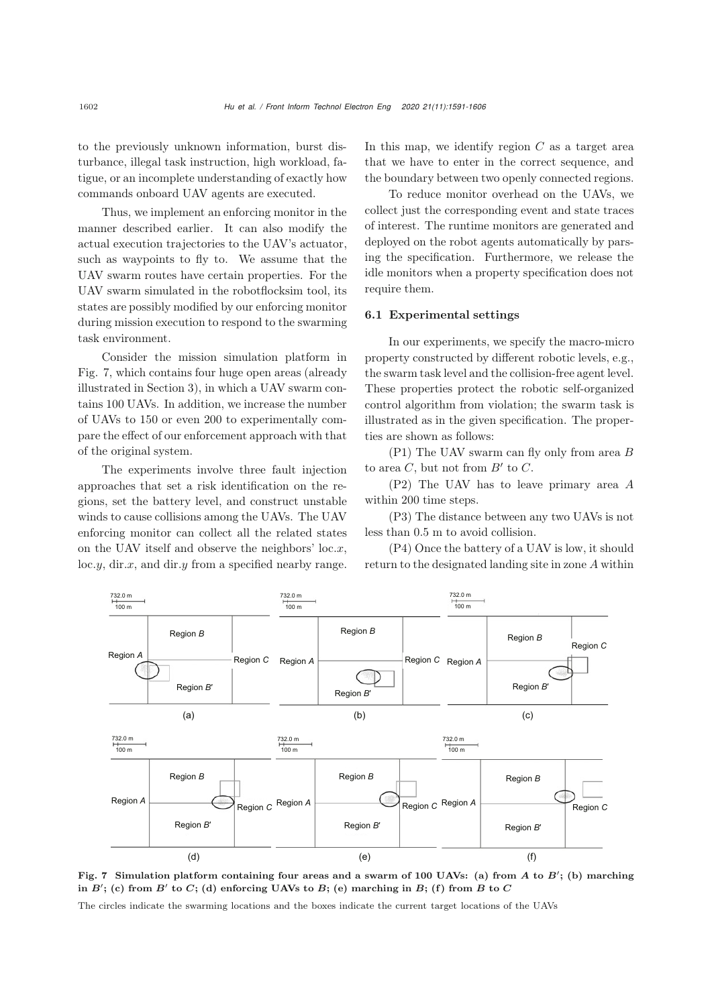to the previously unknown information, burst disturbance, illegal task instruction, high workload, fatigue, or an incomplete understanding of exactly how commands onboard UAV agents are executed.

Thus, we implement an enforcing monitor in the manner described earlier. It can also modify the actual execution trajectories to the UAV's actuator, such as waypoints to fly to. We assume that the UAV swarm routes have certain properties. For the UAV swarm simulated in the robotflocksim tool, its states are possibly modified by our enforcing monitor during mission execution to respond to the swarming task environment.

Consider the mission simulation platform in Fig. 7, which contains four huge open areas (already illustrated in Section 3), in which a UAV swarm contains 100 UAVs. In addition, we increase the number of UAVs to 150 or even 200 to experimentally compare the effect of our enforcement approach with that of the original system.

The experiments involve three fault injection approaches that set a risk identification on the regions, set the battery level, and construct unstable winds to cause collisions among the UAVs. The UAV enforcing monitor can collect all the related states on the UAV itself and observe the neighbors' loc.x,  $\mathrm{loc}.y$ , dir.x, and dir.y from a specified nearby range.

In this map, we identify region  $C$  as a target area that we have to enter in the correct sequence, and the boundary between two openly connected regions.

To reduce monitor overhead on the UAVs, we collect just the corresponding event and state traces of interest. The runtime monitors are generated and deployed on the robot agents automatically by parsing the specification. Furthermore, we release the idle monitors when a property specification does not require them.

## 6.1 Experimental settings

In our experiments, we specify the macro-micro property constructed by different robotic levels, e.g., the swarm task level and the collision-free agent level. These properties protect the robotic self-organized control algorithm from violation; the swarm task is illustrated as in the given specification. The properties are shown as follows:

(P1) The UAV swarm can fly only from area B to area  $C$ , but not from  $B'$  to  $C$ .

(P2) The UAV has to leave primary area A within 200 time steps.

(P3) The distance between any two UAVs is not less than 0.5 m to avoid collision.

(P4) Once the battery of a UAV is low, it should return to the designated landing site in zone A within



Fig. 7 Simulation platform containing four areas and a swarm of 100 UAVs: (a) from A to B'; (b) marching in  $B'$ ; (c) from  $B'$  to  $C$ ; (d) enforcing UAVs to  $B$ ; (e) marching in  $B$ ; (f) from  $B$  to  $C$ 

The circles indicate the swarming locations and the boxes indicate the current target locations of the UAVs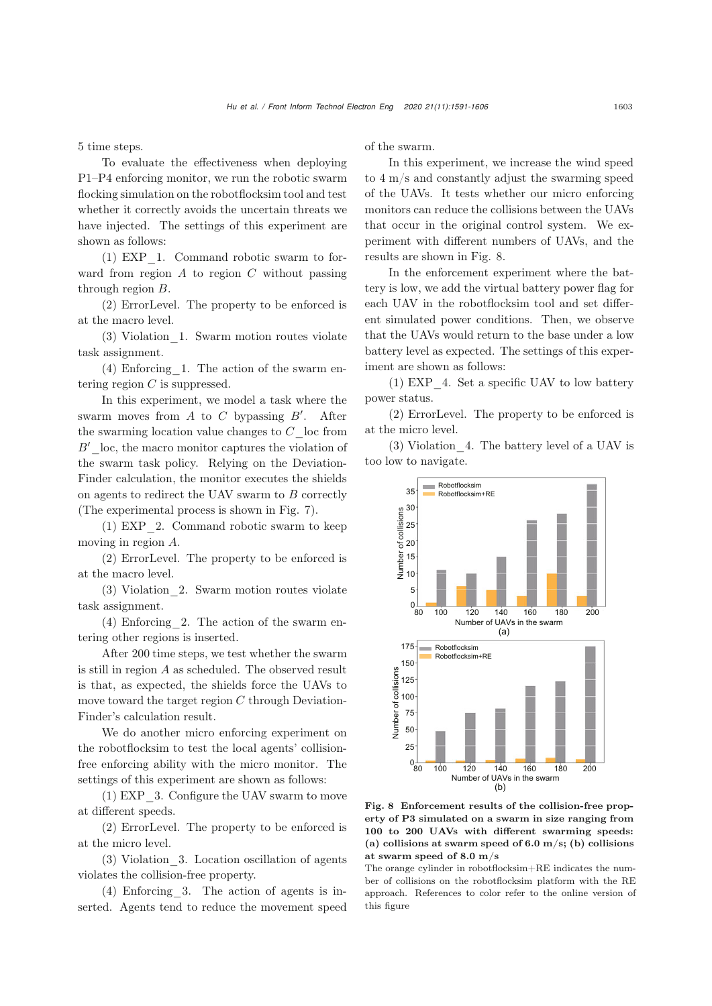5 time steps.

To evaluate the effectiveness when deploying P1–P4 enforcing monitor, we run the robotic swarm flocking simulation on the robotflocksim tool and test whether it correctly avoids the uncertain threats we have injected. The settings of this experiment are shown as follows:

(1) EXP\_1. Command robotic swarm to forward from region  $A$  to region  $C$  without passing through region B.

(2) ErrorLevel. The property to be enforced is at the macro level.

(3) Violation\_1. Swarm motion routes violate task assignment.

(4) Enforcing\_1. The action of the swarm entering region  $C$  is suppressed.

In this experiment, we model a task where the swarm moves from  $A$  to  $C$  bypassing  $B'$ . After the swarming location value changes to  $C$  loc from  $B'$  loc, the macro monitor captures the violation of the swarm task policy. Relying on the Deviation-Finder calculation, the monitor executes the shields on agents to redirect the UAV swarm to B correctly (The experimental process is shown in Fig. 7).

(1) EXP\_2. Command robotic swarm to keep moving in region A.

(2) ErrorLevel. The property to be enforced is at the macro level.

(3) Violation\_2. Swarm motion routes violate task assignment.

(4) Enforcing\_2. The action of the swarm entering other regions is inserted.

After 200 time steps, we test whether the swarm is still in region A as scheduled. The observed result is that, as expected, the shields force the UAVs to move toward the target region  $C$  through Deviation-Finder's calculation result.

We do another micro enforcing experiment on the robotflocksim to test the local agents' collisionfree enforcing ability with the micro monitor. The settings of this experiment are shown as follows:

(1) EXP\_3. Configure the UAV swarm to move at different speeds.

(2) ErrorLevel. The property to be enforced is at the micro level.

(3) Violation\_3. Location oscillation of agents violates the collision-free property.

(4) Enforcing\_3. The action of agents is inserted. Agents tend to reduce the movement speed of the swarm.

In this experiment, we increase the wind speed to 4 m/s and constantly adjust the swarming speed of the UAVs. It tests whether our micro enforcing monitors can reduce the collisions between the UAVs that occur in the original control system. We experiment with different numbers of UAVs, and the results are shown in Fig. 8.

In the enforcement experiment where the battery is low, we add the virtual battery power flag for each UAV in the robotflocksim tool and set different simulated power conditions. Then, we observe that the UAVs would return to the base under a low battery level as expected. The settings of this experiment are shown as follows:

(1) EXP\_4. Set a specific UAV to low battery power status.

(2) ErrorLevel. The property to be enforced is at the micro level.

(3) Violation\_4. The battery level of a UAV is too low to navigate.



Fig. 8 Enforcement results of the collision-free property of P3 simulated on a swarm in size ranging from 100 to 200 UAVs with different swarming speeds: (a) collisions at swarm speed of 6.0 m/s; (b) collisions at swarm speed of 8.0 m/s

The orange cylinder in robotflocksim+RE indicates the number of collisions on the robotflocksim platform with the RE approach. References to color refer to the online version of this figure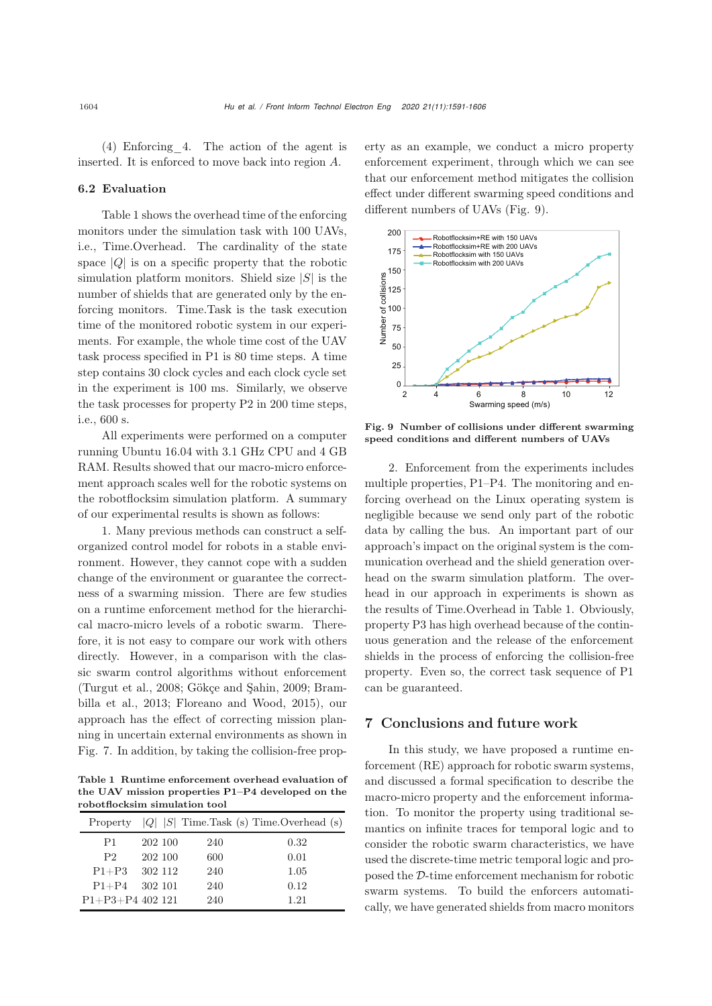(4) Enforcing\_4. The action of the agent is inserted. It is enforced to move back into region A.

# 6.2 Evaluation

Table [1](#page-13-0) shows the overhead time of the enforcing monitors under the simulation task with 100 UAVs, i.e., Time.Overhead. The cardinality of the state space  $|Q|$  is on a specific property that the robotic simulation platform monitors. Shield size  $|S|$  is the number of shields that are generated only by the enforcing monitors. Time.Task is the task execution time of the monitored robotic system in our experiments. For example, the whole time cost of the UAV task process specified in P1 is 80 time steps. A time step contains 30 clock cycles and each clock cycle set in the experiment is 100 ms. Similarly, we observe the task processes for property P2 in 200 time steps, i.e., 600 s.

All experiments were performed on a computer running Ubuntu 16.04 with 3.1 GHz CPU and 4 GB RAM. Results showed that our macro-micro enforcement approach scales well for the robotic systems on the robotflocksim simulation platform. A summary of our experimental results is shown as follows:

1. Many previous methods can construct a selforganized control model for robots in a stable environment. However, they cannot cope with a sudden change of the environment or guarantee the correctness of a swarming mission. There are few studies on a runtime enforcement method for the hierarchical macro-micro levels of a robotic swarm. Therefore, it is not easy to compare our work with others directly. However, in a comparison with the classic swarm control algorithms without enforcement [\(Turgut et al.](#page-15-5)[,](#page-14-2) [2008](#page-15-5)[;](#page-14-2) [Gökçe and Şahin](#page-14-4)[,](#page-14-2) [2009](#page-14-4)[;](#page-14-2) Brambilla et al., [2013](#page-14-2); [Floreano and Wood](#page-14-3), [2015](#page-14-3)), our approach has the effect of correcting mission planning in uncertain external environments as shown in Fig. 7. In addition, by taking the collision-free prop-

<span id="page-13-0"></span>Table 1 Runtime enforcement overhead evaluation of the UAV mission properties P1–P4 developed on the robotflocksim simulation tool

|                        |         |     | Property $ Q $  S  Time. Task (s) Time. Overhead (s) |
|------------------------|---------|-----|------------------------------------------------------|
| P1                     | 202 100 | 240 | 0.32                                                 |
| P <sub>2</sub>         | 202 100 | 600 | 0.01                                                 |
| $P1 + P3$              | 302 112 | 240 | 1.05                                                 |
| $P1 + P4$ 302 101      |         | 240 | 0.12                                                 |
| $P1 + P3 + P4$ 402 121 |         | 240 | 1.21                                                 |

erty as an example, we conduct a micro property enforcement experiment, through which we can see that our enforcement method mitigates the collision effect under different swarming speed conditions and different numbers of UAVs (Fig. 9).



Fig. 9 Number of collisions under different swarming speed conditions and different numbers of UAVs

2. Enforcement from the experiments includes multiple properties, P1–P4. The monitoring and enforcing overhead on the Linux operating system is negligible because we send only part of the robotic data by calling the bus. An important part of our approach's impact on the original system is the communication overhead and the shield generation overhead on the swarm simulation platform. The overhead in our approach in experiments is shown as the results of Time.Overhead in Table 1. Obviously, property P3 has high overhead because of the continuous generation and the release of the enforcement shields in the process of enforcing the collision-free property. Even so, the correct task sequence of P1 can be guaranteed.

# 7 Conclusions and future work

In this study, we have proposed a runtime enforcement (RE) approach for robotic swarm systems, and discussed a formal specification to describe the macro-micro property and the enforcement information. To monitor the property using traditional semantics on infinite traces for temporal logic and to consider the robotic swarm characteristics, we have used the discrete-time metric temporal logic and proposed the D-time enforcement mechanism for robotic swarm systems. To build the enforcers automatically, we have generated shields from macro monitors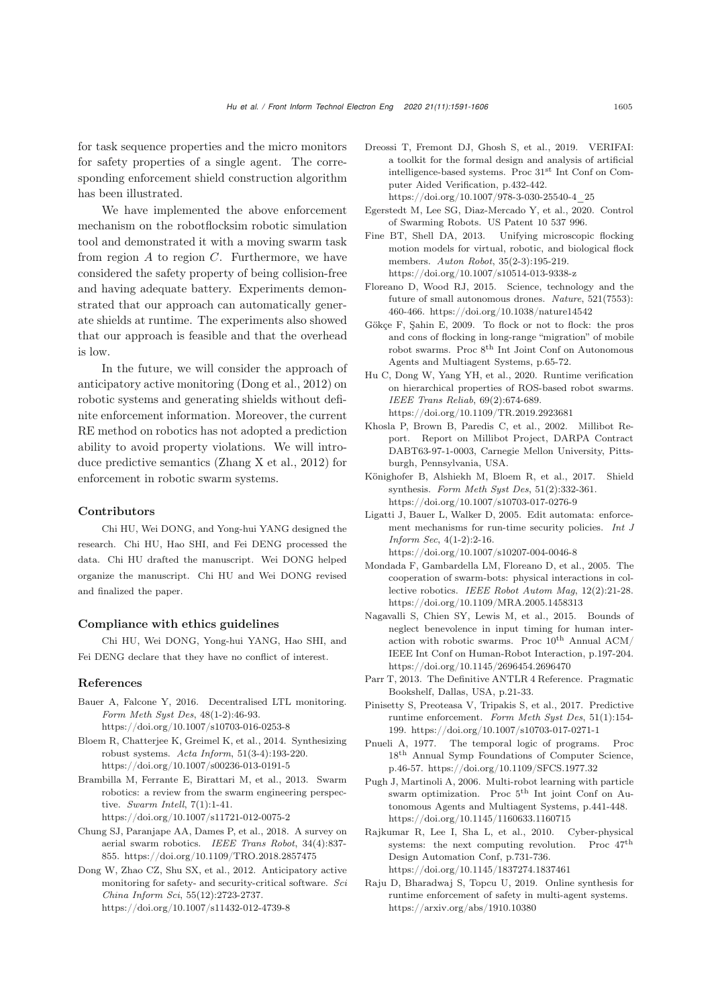for task sequence properties and the micro monitors for safety properties of a single agent. The corresponding enforcement shield construction algorithm has been illustrated.

We have implemented the above enforcement mechanism on the robotflocksim robotic simulation tool and demonstrated it with a moving swarm task from region  $A$  to region  $C$ . Furthermore, we have considered the safety property of being collision-free and having adequate battery. Experiments demonstrated that our approach can automatically generate shields at runtime. The experiments also showed that our approach is feasible and that the overhead is low.

In the future, we will consider the approach of anticipatory active monitoring [\(Dong et al.](#page-14-21), [2012\)](#page-14-21) on robotic systems and generating shields without definite enforcement information. Moreover, the current RE method on robotics has not adopted a prediction ability to avoid property violations. We will introduce predictive semantics [\(Zhang X et al., 2012\)](#page-15-13) for enforcement in robotic swarm systems.

#### Contributors

Chi HU, Wei DONG, and Yong-hui YANG designed the research. Chi HU, Hao SHI, and Fei DENG processed the data. Chi HU drafted the manuscript. Wei DONG helped organize the manuscript. Chi HU and Wei DONG revised and finalized the paper.

#### Compliance with ethics guidelines

Chi HU, Wei DONG, Yong-hui YANG, Hao SHI, and Fei DENG declare that they have no conflict of interest.

#### References

<span id="page-14-18"></span>Bauer A, Falcone Y, 2016. Decentralised LTL monitoring. *Form Meth Syst Des*, 48(1-2):46-93.

https://doi.org/10.1007/s10703-016-0253-8

- <span id="page-14-20"></span>Bloem R, Chatterjee K, Greimel K, et al., 2014. Synthesizing robust systems. *Acta Inform*, 51(3-4):193-220. https://doi.org/10.1007/s00236-013-0191-5
- <span id="page-14-2"></span>Brambilla M, Ferrante E, Birattari M, et al., 2013. Swarm robotics: a review from the swarm engineering perspective. *Swarm Intell*, 7(1):1-41. https://doi.org/10.1007/s11721-012-0075-2
- <span id="page-14-5"></span>Chung SJ, Paranjape AA, Dames P, et al., 2018. A survey on aerial swarm robotics. *IEEE Trans Robot*, 34(4):837- 855. https://doi.org/10.1109/TRO.2018.2857475
- <span id="page-14-21"></span>Dong W, Zhao CZ, Shu SX, et al., 2012. Anticipatory active monitoring for safety- and security-critical software. *Sci China Inform Sci*, 55(12):2723-2737. https://doi.org/10.1007/s11432-012-4739-8
- <span id="page-14-16"></span>Dreossi T, Fremont DJ, Ghosh S, et al., 2019. VERIFAI: a toolkit for the formal design and analysis of artificial intelligence-based systems. Proc 31st Int Conf on Computer Aided Verification, p.432-442. https://doi.org/10.1007/978-3-030-25540-4\_25
- <span id="page-14-10"></span>Egerstedt M, Lee SG, Diaz-Mercado Y, et al., 2020. Control of Swarming Robots. US Patent 10 537 996.
- <span id="page-14-11"></span>Fine BT, Shell DA, 2013. Unifying microscopic flocking motion models for virtual, robotic, and biological flock members. *Auton Robot*, 35(2-3):195-219. https://doi.org/10.1007/s10514-013-9338-z
- <span id="page-14-3"></span>Floreano D, Wood RJ, 2015. Science, technology and the future of small autonomous drones. *Nature*, 521(7553): 460-466. https://doi.org/10.1038/nature14542
- <span id="page-14-4"></span>Gökçe F, Şahin E, 2009. To flock or not to flock: the pros and cons of flocking in long-range "migration" of mobile robot swarms. Proc 8th Int Joint Conf on Autonomous Agents and Multiagent Systems, p.65-72.
- <span id="page-14-17"></span>Hu C, Dong W, Yang YH, et al., 2020. Runtime verification on hierarchical properties of ROS-based robot swarms. *IEEE Trans Reliab*, 69(2):674-689. https://doi.org/10.1109/TR.2019.2923681
- <span id="page-14-6"></span>Khosla P, Brown B, Paredis C, et al., 2002. Millibot Report. Report on Millibot Project, DARPA Contract DABT63-97-1-0003, Carnegie Mellon University, Pittsburgh, Pennsylvania, USA.
- <span id="page-14-12"></span>Könighofer B, Alshiekh M, Bloem R, et al., 2017. Shield synthesis. *Form Meth Syst Des*, 51(2):332-361. https://doi.org/10.1007/s10703-017-0276-9
- <span id="page-14-19"></span>Ligatti J, Bauer L, Walker D, 2005. Edit automata: enforcement mechanisms for run-time security policies. *Int J Inform Sec*, 4(1-2):2-16. https://doi.org/10.1007/s10207-004-0046-8
- <span id="page-14-8"></span>Mondada F, Gambardella LM, Floreano D, et al., 2005. The cooperation of swarm-bots: physical interactions in collective robotics. *IEEE Robot Autom Mag*, 12(2):21-28. https://doi.org/10.1109/MRA.2005.1458313
- <span id="page-14-7"></span>Nagavalli S, Chien SY, Lewis M, et al., 2015. Bounds of neglect benevolence in input timing for human interaction with robotic swarms. Proc  $10^{th}$  Annual ACM/ IEEE Int Conf on Human-Robot Interaction, p.197-204. https://doi.org/10.1145/2696454.2696470
- <span id="page-14-0"></span>Parr T, 2013. The Definitive ANTLR 4 Reference. Pragmatic Bookshelf, Dallas, USA, p.21-33.
- <span id="page-14-14"></span>Pinisetty S, Preoteasa V, Tripakis S, et al., 2017. Predictive runtime enforcement. *Form Meth Syst Des*, 51(1):154- 199. https://doi.org/10.1007/s10703-017-0271-1
- <span id="page-14-15"></span>Pnueli A, 1977. The temporal logic of programs. Proc 18th Annual Symp Foundations of Computer Science, p.46-57. https://doi.org/10.1109/SFCS.1977.32
- <span id="page-14-9"></span>Pugh J, Martinoli A, 2006. Multi-robot learning with particle swarm optimization. Proc  $5<sup>th</sup>$  Int joint Conf on Autonomous Agents and Multiagent Systems, p.441-448. https://doi.org/10.1145/1160633.1160715
- <span id="page-14-1"></span>Rajkumar R, Lee I, Sha L, et al., 2010. Cyber-physical systems: the next computing revolution. Proc  $47^{\text{th}}$ Design Automation Conf, p.731-736. https://doi.org/10.1145/1837274.1837461
- <span id="page-14-13"></span>Raju D, Bharadwaj S, Topcu U, 2019. Online synthesis for runtime enforcement of safety in multi-agent systems. https://arxiv.org/abs/1910.10380